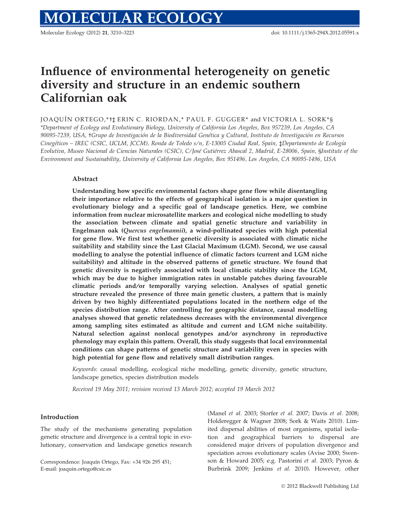Molecular Ecology (2012) 21, 3210–3223 doi: 10.1111/j.1365-294X.2012.05591.x

# Influence of environmental heterogeneity on genetic diversity and structure in an endemic southern Californian oak

# JOAQUI´N ORTEGO,\*†‡ ERIN C. RIORDAN,\* PAUL F. GUGGER\* and VICTORIA L. SORK\*§

\*Department of Ecology and Evolutionary Biology, University of California Los Angeles, Box 957239, Los Angeles, CA 90095-7239, USA, +Grupo de Investigación de la Biodiversidad Genética y Cultural, Instituto de Investigación en Recursos Cinegéticos – IREC (CSIC, UCLM, JCCM), Ronda de Toledo s/n, E-13005 Ciudad Real, Spain, ‡Departamento de Ecología Evolutiva, Museo Nacional de Ciencias Naturales (CSIC), C/José Gutiérrez Abascal 2, Madrid, E-28006, Spain, §Institute of the Environment and Sustainability, University of California Los Angeles, Box 951496, Los Angeles, CA 90095-1496, USA

# Abstract

Understanding how specific environmental factors shape gene flow while disentangling their importance relative to the effects of geographical isolation is a major question in evolutionary biology and a specific goal of landscape genetics. Here, we combine information from nuclear microsatellite markers and ecological niche modelling to study the association between climate and spatial genetic structure and variability in Engelmann oak (Quercus engelmannii), a wind-pollinated species with high potential for gene flow. We first test whether genetic diversity is associated with climatic niche suitability and stability since the Last Glacial Maximum (LGM). Second, we use causal modelling to analyse the potential influence of climatic factors (current and LGM niche suitability) and altitude in the observed patterns of genetic structure. We found that genetic diversity is negatively associated with local climatic stability since the LGM, which may be due to higher immigration rates in unstable patches during favourable climatic periods and/or temporally varying selection. Analyses of spatial genetic structure revealed the presence of three main genetic clusters, a pattern that is mainly driven by two highly differentiated populations located in the northern edge of the species distribution range. After controlling for geographic distance, causal modelling analyses showed that genetic relatedness decreases with the environmental divergence among sampling sites estimated as altitude and current and LGM niche suitability. Natural selection against nonlocal genotypes and/or asynchrony in reproductive phenology may explain this pattern. Overall, this study suggests that local environmental conditions can shape patterns of genetic structure and variability even in species with high potential for gene flow and relatively small distribution ranges.

Keywords: causal modelling, ecological niche modelling, genetic diversity, genetic structure, landscape genetics, species distribution models

Received 19 May 2011; revision received 13 March 2012; accepted 19 March 2012

# Introduction

The study of the mechanisms generating population genetic structure and divergence is a central topic in evolutionary, conservation and landscape genetics research

Correspondence: Joaquín Ortego, Fax: +34 926 295 451; E-mail: joaquin.ortego@csic.es

(Manel et al. 2003; Storfer et al. 2007; Davis et al. 2008; Holderegger & Wagner 2008; Sork & Waits 2010). Limited dispersal abilities of most organisms, spatial isolation and geographical barriers to dispersal are considered major drivers of population divergence and speciation across evolutionary scales (Avise 2000; Swenson & Howard 2005; e.g. Pastorini et al. 2003; Pyron & Burbrink 2009; Jenkins et al. 2010). However, other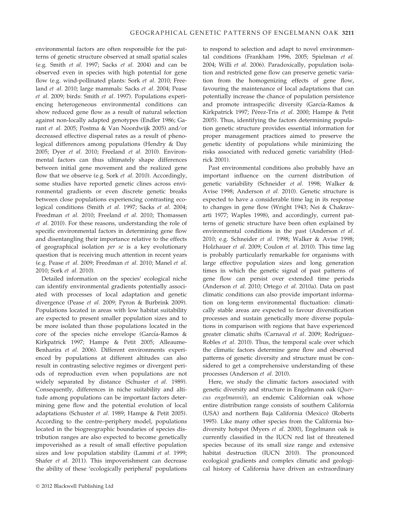environmental factors are often responsible for the patterns of genetic structure observed at small spatial scales (e.g. Smith et al. 1997; Sacks et al. 2004) and can be observed even in species with high potential for gene flow (e.g. wind-pollinated plants: Sork et al. 2010; Freeland et al. 2010; large mammals: Sacks et al. 2004; Pease et al. 2009; birds: Smith et al. 1997). Populations experiencing heterogeneous environmental conditions can show reduced gene flow as a result of natural selection against non-locally adapted genotypes (Endler 1986; Garant et al. 2005; Postma & Van Noordwijk 2005) and/or decreased effective dispersal rates as a result of phenological differences among populations (Hendry & Day 2005; Dyer et al. 2010; Freeland et al. 2010). Environmental factors can thus ultimately shape differences between initial gene movement and the realized gene flow that we observe (e.g. Sork et al. 2010). Accordingly, some studies have reported genetic clines across environmental gradients or even discrete genetic breaks between close populations experiencing contrasting ecological conditions (Smith et al. 1997; Sacks et al. 2004; Freedman et al. 2010; Freeland et al. 2010; Thomassen et al. 2010). For these reasons, understanding the role of specific environmental factors in determining gene flow and disentangling their importance relative to the effects of geographical isolation per se is a key evolutionary question that is receiving much attention in recent years (e.g. Pease et al. 2009; Freedman et al. 2010; Manel et al. 2010; Sork et al. 2010).

Detailed information on the species' ecological niche can identify environmental gradients potentially associated with processes of local adaptation and genetic divergence (Pease et al. 2009; Pyron & Burbrink 2009). Populations located in areas with low habitat suitability are expected to present smaller population sizes and to be more isolated than those populations located in the core of the species niche envelope (García-Ramos  $&$ Kirkpatrick 1997; Hampe & Petit 2005; Alleaume-Benharira et al. 2006). Different environments experienced by populations at different altitudes can also result in contrasting selective regimes or divergent periods of reproduction even when populations are not widely separated by distance (Schuster et al. 1989). Consequently, differences in niche suitability and altitude among populations can be important factors determining gene flow and the potential evolution of local adaptations (Schuster et al. 1989; Hampe & Petit 2005). According to the centre–periphery model, populations located in the biogreographic boundaries of species distribution ranges are also expected to become genetically impoverished as a result of small effective population sizes and low population stability (Lammi et al. 1999; Shafer et al. 2011). This impoverishment can decrease the ability of these 'ecologically peripheral' populations

to respond to selection and adapt to novel environmental conditions (Frankham 1996, 2005; Spielman et al. 2004; Willi et al. 2006). Paradoxically, population isolation and restricted gene flow can preserve genetic variation from the homogenizing effects of gene flow, favouring the maintenance of local adaptations that can potentially increase the chance of population persistence and promote intraspecific diversity (García-Ramos  $\&$ Kirkpatrick 1997; Pérez-Tris et al. 2000; Hampe & Petit 2005). Thus, identifying the factors determining population genetic structure provides essential information for proper management practices aimed to preserve the genetic identity of populations while minimizing the risks associated with reduced genetic variability (Hedrick 2001).

Past environmental conditions also probably have an important influence on the current distribution of genetic variability (Schneider et al. 1998; Walker & Avise 1998; Anderson et al. 2010). Genetic structure is expected to have a considerable time lag in its response to changes in gene flow (Wright 1943; Nei & Chakravarti 1977; Waples 1998), and accordingly, current patterns of genetic structure have been often explained by environmental conditions in the past (Anderson et al. 2010; e.g. Schneider et al. 1998; Walker & Avise 1998; Holzhauer et al. 2009; Coulon et al. 2010). This time lag is probably particularly remarkable for organisms with large effective population sizes and long generation times in which the genetic signal of past patterns of gene flow can persist over extended time periods (Anderson et al. 2010; Ortego et al. 2010a). Data on past climatic conditions can also provide important information on long-term environmental fluctuation: climatically stable areas are expected to favour diversification processes and sustain genetically more diverse populations in comparison with regions that have experienced greater climatic shifts (Carnaval et al. 2009; Rodríguez-Robles et al. 2010). Thus, the temporal scale over which the climatic factors determine gene flow and observed patterns of genetic diversity and structure must be considered to get a comprehensive understanding of these processes (Anderson et al. 2010).

Here, we study the climatic factors associated with genetic diversity and structure in Engelmann oak (Quercus engelmannii), an endemic Californian oak whose entire distribution range consists of southern California (USA) and northern Baja California (Mexico) (Roberts 1995). Like many other species from the California biodiversity hotspot (Myers et al. 2000), Engelmann oak is currently classified in the IUCN red list of threatened species because of its small size range and extensive habitat destruction (IUCN 2010). The pronounced ecological gradients and complex climatic and geological history of California have driven an extraordinary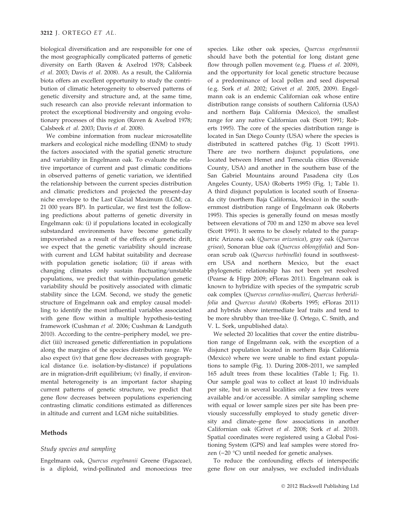biological diversification and are responsible for one of the most geographically complicated patterns of genetic diversity on Earth (Raven & Axelrod 1978; Calsbeek et al. 2003; Davis et al. 2008). As a result, the California biota offers an excellent opportunity to study the contribution of climatic heterogeneity to observed patterns of genetic diversity and structure and, at the same time, such research can also provide relevant information to protect the exceptional biodiversity and ongoing evolutionary processes of this region (Raven & Axelrod 1978; Calsbeek et al. 2003; Davis et al. 2008).

We combine information from nuclear microsatellite markers and ecological niche modelling (ENM) to study the factors associated with the spatial genetic structure and variability in Engelmann oak. To evaluate the relative importance of current and past climatic conditions in observed patterns of genetic variation, we identified the relationship between the current species distribution and climatic predictors and projected the present-day niche envelope to the Last Glacial Maximum (LGM; ca. 21 000 years BP). In particular, we first test the following predictions about patterns of genetic diversity in Engelmann oak: (i) if populations located in ecologically substandard environments have become genetically impoverished as a result of the effects of genetic drift, we expect that the genetic variability should increase with current and LGM habitat suitability and decrease with population genetic isolation; (ii) if areas with changing climates only sustain fluctuating/unstable populations, we predict that within-population genetic variability should be positively associated with climatic stability since the LGM. Second, we study the genetic structure of Engelmann oak and employ causal modelling to identify the most influential variables associated with gene flow within a multiple hypothesis-testing framework (Cushman et al. 2006; Cushman & Landguth 2010). According to the centre–periphery model, we predict (iii) increased genetic differentiation in populations along the margins of the species distribution range. We also expect (iv) that gene flow decreases with geographical distance (i.e. isolation-by-distance) if populations are in migration-drift equilibrium; (v) finally, if environmental heterogeneity is an important factor shaping current patterns of genetic structure, we predict that gene flow decreases between populations experiencing contrasting climatic conditions estimated as differences in altitude and current and LGM niche suitabilities.

## Methods

#### Study species and sampling

Engelmann oak, Quercus engelmanii Greene (Fagaceae), is a diploid, wind-pollinated and monoecious tree

species. Like other oak species, Quercus engelmannii should have both the potential for long distant gene flow through pollen movement (e.g. Pluess et al. 2009), and the opportunity for local genetic structure because of a predominance of local pollen and seed dispersal (e.g. Sork et al. 2002; Grivet et al. 2005, 2009). Engelmann oak is an endemic Californian oak whose entire distribution range consists of southern California (USA) and northern Baja California (Mexico), the smallest range for any native Californian oak (Scott 1991; Roberts 1995). The core of the species distribution range is located in San Diego County (USA) where the species is distributed in scattered patches (Fig. 1) (Scott 1991). There are two northern disjunct populations, one located between Hemet and Temecula cities (Riverside County, USA) and another in the southern base of the San Gabriel Mountains around Pasadena city (Los Angeles County, USA) (Roberts 1995) (Fig. 1; Table 1). A third disjunct population is located south of Ensenada city (northern Baja California, Mexico) in the southernmost distribution range of Engelmann oak (Roberts 1995). This species is generally found on mesas mostly between elevations of 700 m and 1250 m above sea level (Scott 1991). It seems to be closely related to the parapatric Arizona oak (Quercus arizonica), gray oak (Quercus grisea), Sonoran blue oak (Quercus oblongifolia) and Sonoran scrub oak (Quercus turbinella) found in southwestern USA and northern Mexico, but the exact phylogenetic relationship has not been yet resolved (Pearse & Hipp 2009; eFloras 2011). Engelmann oak is known to hybridize with species of the sympatric scrub oak complex (Quercus cornelius-mulleri, Quercus berberidifolia and Quercus durata) (Roberts 1995; eFloras 2011) and hybrids show intermediate leaf traits and tend to be more shrubby than tree-like (J. Ortego, C. Smith, and V. L. Sork, unpublished data).

We selected 20 localities that cover the entire distribution range of Engelmann oak, with the exception of a disjunct population located in northern Baja California (Mexico) where we were unable to find extant populations to sample (Fig. 1). During 2008–2011, we sampled 165 adult trees from these localities (Table 1; Fig. 1). Our sample goal was to collect at least 10 individuals per site, but in several localities only a few trees were available and/or accessible. A similar sampling scheme with equal or lower sample sizes per site has been previously successfully employed to study genetic diversity and climate–gene flow associations in another Californian oak (Grivet et al. 2008; Sork et al. 2010). Spatial coordinates were registered using a Global Positioning System (GPS) and leaf samples were stored frozen  $(-20 \degree C)$  until needed for genetic analyses.

To reduce the confounding effects of interspecific gene flow on our analyses, we excluded individuals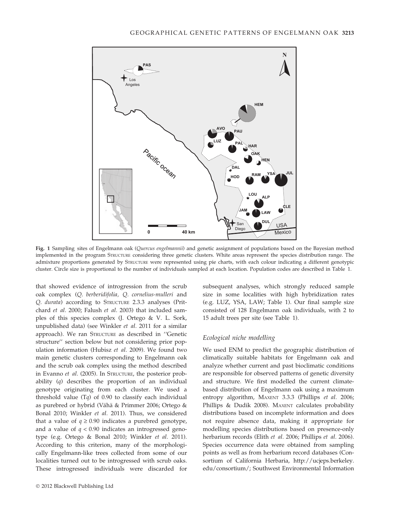

Fig. 1 Sampling sites of Engelmann oak (Quercus engelmannii) and genetic assignment of populations based on the Bayesian method implemented in the program STRUCTURE considering three genetic clusters. White areas represent the species distribution range. The admixture proportions generated by STRUCTURE were represented using pie charts, with each colour indicating a different genotypic cluster. Circle size is proportional to the number of individuals sampled at each location. Population codes are described in Table 1.

that showed evidence of introgression from the scrub oak complex (Q. berberidifolia, Q. cornelius-mulleri and Q. durata) according to STRUCTURE 2.3.3 analyses (Pritchard et al. 2000; Falush et al. 2003) that included samples of this species complex (J. Ortego & V. L. Sork, unpublished data) (see Winkler et al. 2011 for a similar approach). We ran STRUCTURE as described in ''Genetic structure'' section below but not considering prior population information (Hubisz et al. 2009). We found two main genetic clusters corresponding to Engelmann oak and the scrub oak complex using the method described in Evanno et al. (2005). In STRUCTURE, the posterior probability (q) describes the proportion of an individual genotype originating from each cluster. We used a threshold value  $(Tq)$  of 0.90 to classify each individual as purebred or hybrid (Vähä & Primmer 2006; Ortego & Bonal 2010; Winkler et al. 2011). Thus, we considered that a value of  $q \ge 0.90$  indicates a purebred genotype, and a value of  $q < 0.90$  indicates an introgressed genotype (e.g. Ortego & Bonal 2010; Winkler et al. 2011). According to this criterion, many of the morphologically Engelmann-like trees collected from some of our localities turned out to be introgressed with scrub oaks. These introgressed individuals were discarded for subsequent analyses, which strongly reduced sample size in some localities with high hybridization rates (e.g. LUZ, YSA, LAW; Table 1). Our final sample size consisted of 128 Engelmann oak individuals, with 2 to 15 adult trees per site (see Table 1).

#### Ecological niche modelling

We used ENM to predict the geographic distribution of climatically suitable habitats for Engelmann oak and analyze whether current and past bioclimatic conditions are responsible for observed patterns of genetic diversity and structure. We first modelled the current climatebased distribution of Engelmann oak using a maximum entropy algorithm, MAXENT 3.3.3 (Phillips et al. 2006; Phillips & Dudik 2008). MAXENT calculates probability distributions based on incomplete information and does not require absence data, making it appropriate for modelling species distributions based on presence-only herbarium records (Elith et al. 2006; Phillips et al. 2006). Species occurrence data were obtained from sampling points as well as from herbarium record databases (Consortium of California Herbaria, http://ucjeps.berkeley. edu/consortium/; Southwest Environmental Information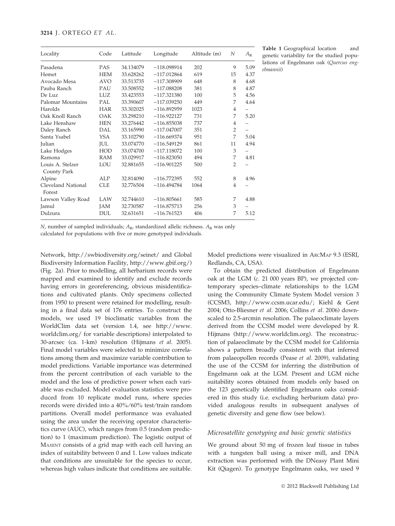# 3214 J. ORTEGO ET AL.

| Locality                        | Code       | Latitude  | Longitude     | Altitude (m) | N              | $A_{\rm R}$ |  |
|---------------------------------|------------|-----------|---------------|--------------|----------------|-------------|--|
| Pasadena                        | <b>PAS</b> | 34.134079 | $-118.098914$ | 202          | 9              | 5.09        |  |
| Hemet                           | <b>HEM</b> | 33.628262 | $-117.012864$ | 619          | 15             | 4.37        |  |
| Avocado Mesa                    | <b>AVO</b> | 33.513735 | $-117.308909$ | 648          | 8              | 4.68        |  |
| Pauba Ranch                     | PAU        | 33.508552 | $-117.088208$ | 381          | 8              | 4.87        |  |
| De Luz                          | LUZ        | 33.423553 | $-117.321380$ | 100          | 5              | 4.56        |  |
| Palomar Mountains               | PAL        | 33.390607 | $-117.039250$ | 449          | 7              | 4.64        |  |
| Harolds                         | <b>HAR</b> | 33.302025 | $-116.892959$ | 1023         | $\overline{4}$ |             |  |
| Oak Knoll Ranch                 | <b>OAK</b> | 33.298210 | $-116.922127$ | 731          | 7              | 5.20        |  |
| Lake Henshaw                    | <b>HEN</b> | 33.276442 | $-116.855038$ | 737          | $\overline{4}$ |             |  |
| Daley Ranch                     | DAL        | 33.165990 | $-117.047007$ | 351          | $\overline{2}$ |             |  |
| Santa Ysabel                    | <b>YSA</b> | 33.102790 | $-116.669374$ | 951          | 7              | 5.04        |  |
| Julian                          | <b>JUL</b> | 33.074770 | $-116.549129$ | 861          | 11             | 4.94        |  |
| Lake Hodges                     | <b>HOD</b> | 33.074700 | $-117.118072$ | 100          | 3              |             |  |
| Ramona                          | <b>RAM</b> | 33.029917 | $-116.823050$ | 494          | 7              | 4.81        |  |
| Louis A. Stelzer<br>County Park | LOU        | 32.881655 | $-116.901225$ | 500          | $\overline{2}$ |             |  |
| Alpine                          | ALP        | 32.814090 | $-116.772395$ | 552          | 8              | 4.96        |  |
| Cleveland National<br>Forest    | <b>CLE</b> | 32.776504 | $-116.494784$ | 1064         | 4              |             |  |
| Lawson Valley Road              | LAW        | 32.744610 | $-116.805661$ | 585          | 7              | 4.88        |  |
| Jamul                           | JAM        | 32.730587 | $-116.875713$ | 256          | 3              |             |  |
| Dulzura                         | <b>DUL</b> | 32.631651 | $-116.761523$ | 406          | 7              | 5.12        |  |

Table 1 Geographical location and genetic variability for the studied populations of Engelmann oak (Quercus engelmannii)

 $N$ , number of sampled individuals;  $A_{R}$ , standardized allelic richness.  $A_{R}$  was only calculated for populations with five or more genotyped individuals.

Network, http://swbiodiversity.org/seinet/ and Global Biodiversity Information Facility, http://www.gbif.org/) (Fig. 2a). Prior to modelling, all herbarium records were mapped and examined to identify and exclude records having errors in georeferencing, obvious misidentifications and cultivated plants. Only specimens collected from 1950 to present were retained for modelling, resulting in a final data set of 176 entries. To construct the models, we used 19 bioclimatic variables from the WorldClim data set (version 1.4, see http://www. worldclim.org/ for variable descriptions) interpolated to 30-arcsec (ca. 1-km) resolution (Hijmans et al. 2005). Final model variables were selected to minimize correlations among them and maximize variable contribution to model predictions. Variable importance was determined from the percent contribution of each variable to the model and the loss of predictive power when each variable was excluded. Model evaluation statistics were produced from 10 replicate model runs, where species records were divided into a 40%/60% test/train random partitions. Overall model performance was evaluated using the area under the receiving operator characteristics curve (AUC), which ranges from 0.5 (random prediction) to 1 (maximum prediction). The logistic output of MAXENT consists of a grid map with each cell having an index of suitability between 0 and 1. Low values indicate that conditions are unsuitable for the species to occur, whereas high values indicate that conditions are suitable. Model predictions were visualized in ARCMAP 9.3 (ESRI, Redlands, CA, USA).

To obtain the predicted distribution of Engelmann oak at the LGM (c. 21 000 years BP), we projected contemporary species–climate relationships to the LGM using the Community Climate System Model version 3 (CCSM3, http://www.ccsm.ucar.edu/; Kiehl & Gent 2004; Otto-Bliesner et al. 2006; Collins et al. 2006) downscaled to 2.5-arcmin resolution. The palaeoclimate layers derived from the CCSM model were developed by R. Hijmans (http://www.worldclim.org). The reconstruction of palaeoclimate by the CCSM model for California shows a pattern broadly consistent with that inferred from palaeopollen records (Pease et al. 2009), validating the use of the CCSM for inferring the distribution of Engelmann oak at the LGM. Present and LGM niche suitability scores obtained from models only based on the 123 genetically identified Engelmann oaks considered in this study (i.e. excluding herbarium data) provided analogous results in subsequent analyses of genetic diversity and gene flow (see below).

## Microsatellite genotyping and basic genetic statistics

We ground about 50 mg of frozen leaf tissue in tubes with a tungsten ball using a mixer mill, and DNA extraction was performed with the DNeasy Plant Mini Kit (Qiagen). To genotype Engelmann oaks, we used 9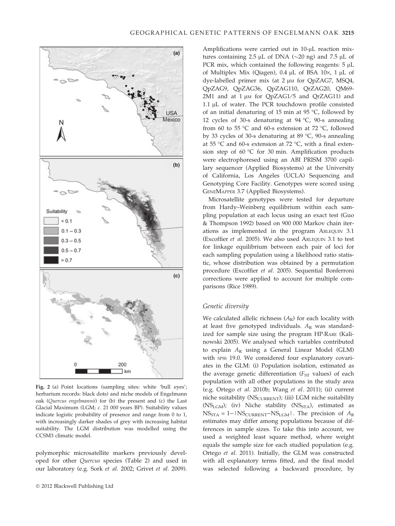

Fig. 2 (a) Point locations (sampling sites: white 'bull eyes'; herbarium records: black dots) and niche models of Engelmann oak (Quercus engelmannii) for (b) the present and (c) the Last Glacial Maximum (LGM; c. 21 000 years BP). Suitability values indicate logistic probability of presence and range from 0 to 1, with increasingly darker shades of grey with increasing habitat suitability. The LGM distribution was modelled using the CCSM3 climatic model.

polymorphic microsatellite markers previously developed for other Quercus species (Table 2) and used in our laboratory (e.g. Sork et al. 2002; Grivet et al. 2009). Amplifications were carried out in 10-µL reaction mixtures containing 2.5  $\mu$ L of DNA ( $\sim$ 20 ng) and 7.5  $\mu$ L of PCR mix, which contained the following reagents: 5 uL of Multiplex Mix (Qiagen), 0.4  $\mu$ L of BSA 10 $\times$ , 1  $\mu$ L of dye-labelled primer mix (at 2  $\mu$ M for OpZAG7, MSO4, QpZAG9, QpZAG36, QpZAG110, QrZAG20, QM69-  $2M1$  and at 1  $\mu$ M for QpZAG1/5 and QrZAG11) and 1.1 µL of water. The PCR touchdown profile consisted of an initial denaturing of 15 min at 95  $\degree$ C, followed by 12 cycles of 30-s denaturing at 94  $^{\circ}$ C, 90-s annealing from 60 to 55 °C and 60-s extension at 72 °C, followed by 33 cycles of 30-s denaturing at 89 °C, 90-s annealing at 55 °C and 60-s extension at 72 °C, with a final extension step of 60  $\degree$ C for 30 min. Amplification products were electrophoresed using an ABI PRISM 3700 capillary sequencer (Applied Biosystems) at the University of California, Los Angeles (UCLA) Sequencing and Genotyping Core Facility. Genotypes were scored using GENEMAPPER 3.7 (Applied Biosystems).

Microsatellite genotypes were tested for departure from Hardy–Weinberg equilibrium within each sampling population at each locus using an exact test (Guo & Thompson 1992) based on 900 000 Markov chain iterations as implemented in the program ARLEQUIN 3.1 (Excoffier et al. 2005). We also used ARLEQUIN 3.1 to test for linkage equilibrium between each pair of loci for each sampling population using a likelihood ratio statistic, whose distribution was obtained by a permutation procedure (Excoffier et al. 2005). Sequential Bonferroni corrections were applied to account for multiple comparisons (Rice 1989).

## Genetic diversity

We calculated allelic richness  $(A_R)$  for each locality with at least five genotyped individuals.  $A_R$  was standardized for sample size using the program HP-RARE (Kalinowski 2005). We analysed which variables contributed to explain  $A_R$  using a General Linear Model (GLM) with spss 19.0. We considered four explanatory covariates in the GLM: (i) Population isolation, estimated as the average genetic differentiation  $(F_{ST}$  values) of each population with all other populations in the study area (e.g. Ortego et al. 2010b; Wang et al. 2011); (ii) current niche suitability (NS<sub>CURRENT</sub>); (iii) LGM niche suitability ( $NS_{\rm LGM}$ ); (iv) Niche stability ( $NS_{\rm STA}$ ), estimated as  $NS<sub>STA</sub> = 1-|NS<sub>CURRENT</sub>-NS<sub>LGM</sub>|$ . The precision of  $A<sub>R</sub>$ estimates may differ among populations because of differences in sample sizes. To take this into account, we used a weighted least square method, where weight equals the sample size for each studied population (e.g. Ortego et al. 2011). Initially, the GLM was constructed with all explanatory terms fitted, and the final model was selected following a backward procedure, by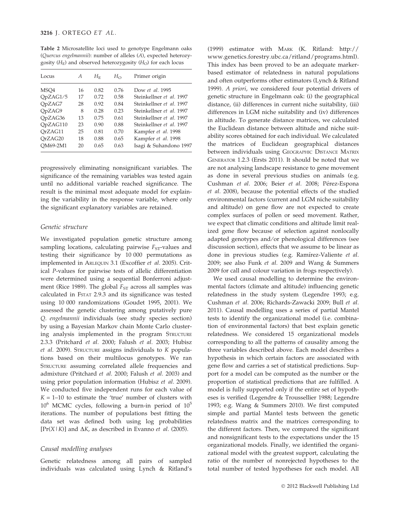Table 2 Microsatellite loci used to genotype Engelmann oaks (Quercus engelmannii): number of alleles (A), expected heterozygosity  $(H_E)$  and observed heterozygosity  $(H_O)$  for each locus

| Locus    | A  | $H_{\rm E}$ | $H_{\Omega}$ | Primer origin            |
|----------|----|-------------|--------------|--------------------------|
| MSO4     | 16 | 0.82        | 0.76         | Dow et al. 1995          |
| QpZAG1/5 | 17 | 0.72        | 0.58         | Steinkellner et al. 1997 |
| QpZAG7   | 28 | 0.92        | 0.84         | Steinkellner et al. 1997 |
| QpZAG9   | 8  | 0.28        | 0.23         | Steinkellner et al. 1997 |
| QpZAG36  | 13 | 0.75        | 0.61         | Steinkellner et al. 1997 |
| QpZAG110 | 23 | 0.90        | 0.88         | Steinkellner et al. 1997 |
| OrZAG11  | 25 | 0.81        | 0.70         | Kampfer et al. 1998      |
| OrZAG20  | 18 | 0.88        | 0.65         | Kampfer et al. 1998      |
| OM69-2M1 | 20 | 0.65        | 0.63         | Isagi & Suhandono 1997   |
|          |    |             |              |                          |

progressively eliminating nonsignificant variables. The significance of the remaining variables was tested again until no additional variable reached significance. The result is the minimal most adequate model for explaining the variability in the response variable, where only the significant explanatory variables are retained.

#### Genetic structure

We investigated population genetic structure among sampling locations, calculating pairwise  $F_{ST}$ -values and testing their significance by 10 000 permutations as implemented in ARLEQUIN 3.1 (Excoffier et al. 2005). Critical P-values for pairwise tests of allelic differentiation were determined using a sequential Bonferroni adjustment (Rice 1989). The global  $F_{ST}$  across all samples was calculated in FSTAT 2.9.3 and its significance was tested using 10 000 randomizations (Goudet 1995, 2001). We assessed the genetic clustering among putatively pure Q. engelmannii individuals (see study species section) by using a Bayesian Markov chain Monte Carlo clustering analysis implemented in the program STRUCTURE 2.3.3 (Pritchard et al. 2000; Falush et al. 2003; Hubisz  $et$  al. 2009). STRUCTURE assigns individuals to  $K$  populations based on their multilocus genotypes. We ran STRUCTURE assuming correlated allele frequencies and admixture (Pritchard et al. 2000; Falush et al. 2003) and using prior population information (Hubisz et al. 2009). We conducted five independent runs for each value of  $K = 1-10$  to estimate the 'true' number of clusters with  $10^6$  MCMC cycles, following a burn-in period of  $10^5$ iterations. The number of populations best fitting the data set was defined both using log probabilities [ $Pr(X|K)$ ] and  $\Delta K$ , as described in Evanno et al. (2005).

#### Causal modelling analyses

Genetic relatedness among all pairs of sampled individuals was calculated using Lynch & Ritland's

(1999) estimator with MARK (K. Ritland: http:// www.genetics.forestry.ubc.ca/ritland/programs.html). This index has been proved to be an adequate markerbased estimator of relatedness in natural populations and often outperforms other estimators (Lynch & Ritland 1999). A priori, we considered four potential drivers of genetic structure in Engelmann oak: (i) the geographical distance, (ii) differences in current niche suitability, (iii) differences in LGM niche suitability and (iv) differences in altitude. To generate distance matrices, we calculated the Euclidean distance between altitude and niche suitability scores obtained for each individual. We calculated the matrices of Euclidean geographical distances between individuals using GEOGRAPHIC DISTANCE MATRIX GENERATOR 1.2.3 (Ersts 2011). It should be noted that we are not analysing landscape resistance to gene movement as done in several previous studies on animals (e.g. Cushman et al. 2006; Beier et al. 2008; Pérez-Espona et al. 2008), because the potential effects of the studied environmental factors (current and LGM niche suitability and altitude) on gene flow are not expected to create complex surfaces of pollen or seed movement. Rather, we expect that climatic conditions and altitude limit realized gene flow because of selection against nonlocally adapted genotypes and/or phenological differences (see discussion section), effects that we assume to be linear as done in previous studies (e.g. Ramírez-Valiente et al. 2009; see also Funk et al. 2009 and Wang & Summers 2009 for call and colour variation in frogs respectively).

We used causal modelling to determine the environmental factors (climate and altitude) influencing genetic relatedness in the study system (Legendre 1993; e.g. Cushman et al. 2006; Richards-Zawacki 2009; Bull et al. 2011). Causal modelling uses a series of partial Mantel tests to identify the organizational model (i.e. combination of environmental factors) that best explain genetic relatedness. We considered 15 organizational models corresponding to all the patterns of causality among the three variables described above. Each model describes a hypothesis in which certain factors are associated with gene flow and carries a set of statistical predictions. Support for a model can be computed as the number or the proportion of statistical predictions that are fulfilled. A model is fully supported only if the entire set of hypotheses is verified (Legendre & Troussellier 1988; Legendre 1993; e.g. Wang & Summers 2010). We first computed simple and partial Mantel tests between the genetic relatedness matrix and the matrices corresponding to the different factors. Then, we compared the significant and nonsignificant tests to the expectations under the 15 organizational models. Finally, we identified the organizational model with the greatest support, calculating the ratio of the number of nonrejected hypotheses to the total number of tested hypotheses for each model. All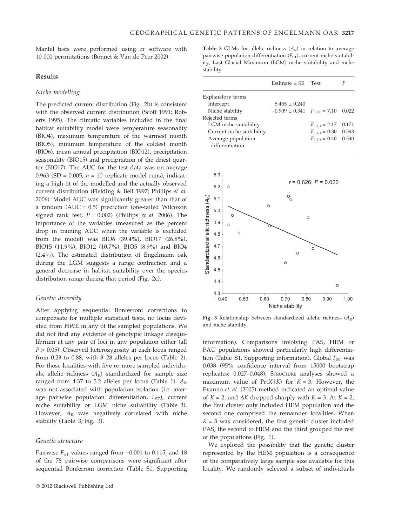Mantel tests were performed using ZT software with 10 000 permutations (Bonnet & Van de Peer 2002).

## Results

#### Niche modelling

The predicted current distribution (Fig. 2b) is consistent with the observed current distribution (Scott 1991; Roberts 1995). The climatic variables included in the final habitat suitability model were temperature seasonality (BIO4), maximum temperature of the warmest month (BIO5), minimum temperature of the coldest month (BIO6), mean annual precipitation (BIO12), precipitation seasonality (BIO15) and precipitation of the driest quarter (BIO17). The AUC for the test data was on average 0.963 (SD = 0.005;  $n = 10$  replicate model runs), indicating a high fit of the modelled and the actually observed current distribution (Fielding & Bell 1997; Phillips et al. 2006). Model AUC was significantly greater than that of a random  $(AUC = 0.5)$  prediction (one-tailed Wilcoxon signed rank test;  $P = 0.002$ ) (Phillips *et al.* 2006). The importance of the variables (measured as the percent drop in training AUC when the variable is excluded from the model) was BIO6 (39.4%), BIO17 (26.8%), BIO15 (11.9%), BIO12 (10.7%), BIO5 (8.9%) and BIO4 (2.4%). The estimated distribution of Engelmann oak during the LGM suggests a range contraction and a general decrease in habitat suitability over the species distribution range during that period (Fig. 2c).

# Genetic diversity

After applying sequential Bonferroni corrections to compensate for multiple statistical tests, no locus deviated from HWE in any of the sampled populations. We did not find any evidence of genotypic linkage disequilibrium at any pair of loci in any population either (all  $P > 0.05$ ). Observed heterozygosity at each locus ranged from 0.23 to 0.88, with 8–28 alleles per locus (Table 2). For those localities with five or more sampled individuals, allelic richness  $(A_R)$  standardized for sample size ranged from 4.37 to 5.2 alleles per locus (Table 1).  $A_R$ was not associated with population isolation (i.e. average pairwise population differentiation,  $F_{ST}$ ), current niche suitability or LGM niche suitability (Table 3). However,  $A_R$  was negatively correlated with niche stability (Table 3; Fig. 3).

#### Genetic structure

Pairwise  $F_{ST}$  values ranged from  $-0.001$  to 0.115, and 18 of the 78 pairwise comparisons were significant after sequential Bonferroni correction (Table S1, Supporting

Table 3 GLMs for allelic richness  $(A_R)$  in relation to average pairwise population differentiation  $(F_{ST})$ , current niche suitability, Last Glacial Maximum (LGM) niche suitability and niche stability

|                                       | Estimate $\pm$ SE  | Test              |       |
|---------------------------------------|--------------------|-------------------|-------|
| Explanatory terms                     |                    |                   |       |
| Intercept                             | $5.455 \pm 0.240$  |                   |       |
| Niche stability                       | $-0.909 \pm 0.341$ | $F_{1,11} = 7.10$ | 0.022 |
| Rejected terms                        |                    |                   |       |
| LGM niche suitability                 |                    | $F_{1,10} = 2.17$ | 0.171 |
| Current niche suitability             |                    | $F_{1,10} = 0.30$ | 0.593 |
| Average population<br>differentiation |                    | $F_{1,10} = 0.40$ | 0.540 |



Fig. 3 Relationship between standardized allelic richness  $(A_R)$ and niche stability.

information). Comparisons involving PAS, HEM or PAU populations showed particularly high differentiation (Table S1, Supporting information). Global  $F_{ST}$  was 0.038 (95% confidence interval from 15000 bootstrap replicates: 0.027–0.048). STRUCTURE analyses showed a maximum value of  $Pr(X|K)$  for  $K = 3$ . However, the Evanno et al. (2005) method indicated an optimal value of  $K = 2$ , and  $\Delta K$  dropped sharply with  $K = 3$ . At  $K = 2$ , the first cluster only included HEM population and the second one comprised the remainder localities. When  $K = 3$  was considered, the first genetic cluster included PAS, the second to HEM and the third grouped the rest of the populations (Fig. 1).

We explored the possibility that the genetic cluster represented by the HEM population is a consequence of the comparatively large sample size available for this locality. We randomly selected a subset of individuals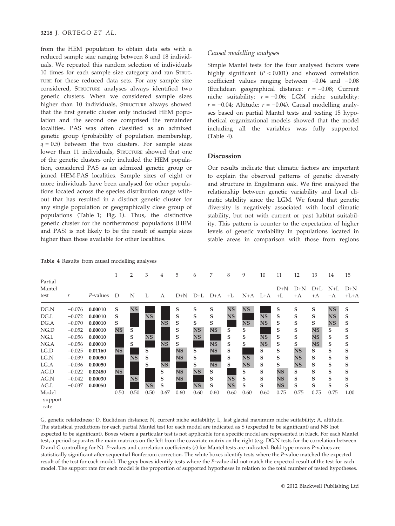from the HEM population to obtain data sets with a reduced sample size ranging between 8 and 18 individuals. We repeated this random selection of individuals 10 times for each sample size category and ran STRUC-TURE for these reduced data sets. For any sample size considered, STRUCTURE analyses always identified two genetic clusters. When we considered sample sizes higher than 10 individuals, STRUCTURE always showed that the first genetic cluster only included HEM population and the second one comprised the remainder localities. PAS was often classified as an admixed genetic group (probability of population membership,  $q = 0.5$ ) between the two clusters. For sample sizes lower than 11 individuals, STRUCTURE showed that one of the genetic clusters only included the HEM population, considered PAS as an admixed genetic group or joined HEM-PAS localities. Sample sizes of eight or more individuals have been analysed for other populations located across the species distribution range without that has resulted in a distinct genetic cluster for any single population or geographically close group of populations (Table 1; Fig. 1). Thus, the distinctive genetic cluster for the northernmost populations (HEM and PAS) is not likely to be the result of sample sizes higher than those available for other localities.

#### Causal modelling analyses

Simple Mantel tests for the four analysed factors were highly significant ( $P < 0.001$ ) and showed correlation coefficient values ranging between  $-0.04$  and  $-0.08$ (Euclidean geographical distance:  $r = -0.08$ ; Current niche suitability:  $r = -0.06$ ; LGM niche suitability:  $r = -0.04$ ; Altitude:  $r = -0.04$ ). Causal modelling analyses based on partial Mantel tests and testing 15 hypothetical organizational models showed that the model including all the variables was fully supported (Table 4).

# Discussion

Our results indicate that climatic factors are important to explain the observed patterns of genetic diversity and structure in Engelmann oak. We first analysed the relationship between genetic variability and local climatic stability since the LGM. We found that genetic diversity is negatively associated with local climatic stability, but not with current or past habitat suitability. This pattern is counter to the expectation of higher levels of genetic variability in populations located in stable areas in comparison with those from regions

|  |  |  |  | Table 4 Results from causal modelling analyses |  |
|--|--|--|--|------------------------------------------------|--|
|--|--|--|--|------------------------------------------------|--|

|                           |                  |          | 1         | $\overline{2}$ | 3    | 4    | 5         | 6         | 7         | 8         | 9         | 10    | 11            | 12            | 13            | 14            | 15              |
|---------------------------|------------------|----------|-----------|----------------|------|------|-----------|-----------|-----------|-----------|-----------|-------|---------------|---------------|---------------|---------------|-----------------|
| Partial<br>Mantel<br>test | $\boldsymbol{r}$ | P-values | D         | N              | L    | A    | $D+N$     | $D+L$     | $D+A$     | $+L$      | $N+A$     | $L+A$ | $D+N$<br>$+L$ | $D+N$<br>$+A$ | $D+L$<br>$+A$ | $N+L$<br>$+A$ | $D+N$<br>$+L+A$ |
| DG.N                      | $-0.076$         | 0.00010  | S         | <b>NS</b>      |      |      | S         | S         | S         | <b>NS</b> | <b>NS</b> |       | S             | S             | S             | <b>NS</b>     | S               |
| DG.L                      | $-0.072$         | 0.00010  | S         |                | NS   |      | S         | S         | S         | <b>NS</b> |           | NS    | S             | S             | S             | <b>NS</b>     | S               |
| DG.A                      | $-0.070$         | 0.00010  | S         |                |      | NS   | S         | S         | S         |           | NS        | NS    | S             | S             | S             | NS            | S               |
| NG.D                      | $-0.052$         | 0.00010  | <b>NS</b> | S              |      |      | S         | <b>NS</b> | <b>NS</b> | S         | S         |       | S             | S             | <b>NS</b>     | S             | S               |
| NG.L                      | $-0.056$         | 0.00010  |           | S              | NS   |      | S         | <b>NS</b> |           | S         | S         | NS    | S             | S             | <b>NS</b>     | S             | S               |
| NG.A                      | $-0.056$         | 0.00010  |           | S              |      | NS   | S         |           | <b>NS</b> | S         | S         | NS    | S             | S             | NS            | S             | S               |
| LG.D                      | $-0.025$         | 0.01160  | <b>NS</b> |                | S    |      | <b>NS</b> | S         | NS        | S         |           | S     | S             | NS            | S             | S             | S               |
| LG.N                      | $-0.039$         | 0.00050  |           | <b>NS</b>      | S    |      | <b>NS</b> | S         |           | S         | NS        | S     | S             | NS            | S             | S             | S               |
| LG.A                      | $-0.036$         | 0.00050  |           |                | S    | NS   |           | S         | <b>NS</b> | S         | NS        | S     | S             | NS            | S             | S             | S               |
| AG.D                      | $-0.022$         | 0.02480  | <b>NS</b> |                |      | S    | <b>NS</b> | <b>NS</b> | S         |           | S         | S     | <b>NS</b>     | S             | S             | S             | S               |
| AG.N                      | $-0.042$         | 0.00030  |           | <b>NS</b>      |      | S    | <b>NS</b> |           | S         | <b>NS</b> | S         | S     | <b>NS</b>     | S             | S             | S             | S               |
| AG.L                      | $-0.037$         | 0.00050  |           |                | NS   | S    |           | NS        | S         | NS        | S         | S     | <b>NS</b>     | S             | S             | S             | S               |
| Model<br>support          |                  |          | 0.50      | 0.50           | 0.50 | 0.67 | 0.60      | 0.60      | 0.60      | 0.60      | 0.60      | 0.60  | 0.75          | 0.75          | 0.75          | 0.75          | 1.00            |
| rate                      |                  |          |           |                |      |      |           |           |           |           |           |       |               |               |               |               |                 |

G, genetic relatedness; D, Euclidean distance; N, current niche suitability; L, last glacial maximum niche suitability; A, altitude. The statistical predictions for each partial Mantel test for each model are indicated as S (expected to be significant) and NS (not expected to be significant). Boxes where a particular test is not applicable for a specific model are represented in black. For each Mantel test, a period separates the main matrices on the left from the covariate matrix on the right (e.g. DG.N tests for the correlation between D and G controlling for N). P-values and correlation coefficients (r) for Mantel tests are indicated. Bold type means P-values are statistically significant after sequential Bonferroni correction. The white boxes identify tests where the P-value matched the expected result of the test for each model. The grey boxes identify tests where the P-value did not match the expected result of the test for each model. The support rate for each model is the proportion of supported hypotheses in relation to the total number of tested hypotheses.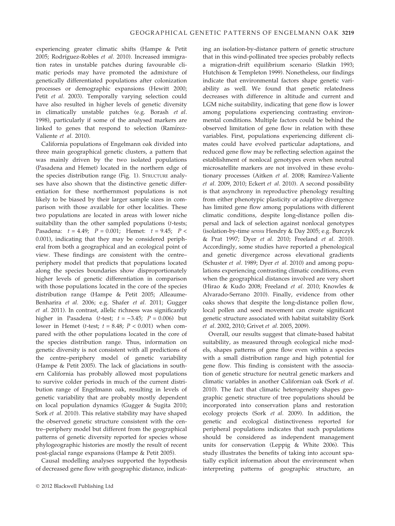experiencing greater climatic shifts (Hampe & Petit 2005; Rodríguez-Robles et al. 2010). Increased immigration rates in unstable patches during favourable climatic periods may have promoted the admixture of genetically differentiated populations after colonization processes or demographic expansions (Hewitt 2000; Petit et al. 2003). Temporally varying selection could have also resulted in higher levels of genetic diversity in climatically unstable patches (e.g. Borash et al. 1998), particularly if some of the analysed markers are linked to genes that respond to selection (Ramírez-Valiente et al. 2010).

California populations of Engelmann oak divided into three main geographical genetic clusters, a pattern that was mainly driven by the two isolated populations (Pasadena and Hemet) located in the northern edge of the species distribution range (Fig. 1). STRUCTURE analyses have also shown that the distinctive genetic differentiation for these northernmost populations is not likely to be biased by their larger sample sizes in comparison with those available for other localities. These two populations are located in areas with lower niche suitability than the other sampled populations (t-tests; Pasadena:  $t = 4.49$ ;  $P = 0.001$ ; Hemet:  $t = 9.45$ ;  $P <$ 0.001), indicating that they may be considered peripheral from both a geographical and an ecological point of view. These findings are consistent with the centre– periphery model that predicts that populations located along the species boundaries show disproportionately higher levels of genetic differentiation in comparison with those populations located in the core of the species distribution range (Hampe & Petit 2005; Alleaume-Benharira et al. 2006; e.g. Shafer et al. 2011; Gugger et al. 2011). In contrast, allelic richness was significantly higher in Pasadena (*t*-test;  $t = -3.45$ ;  $P = 0.006$ ) but lower in Hemet (*t*-test;  $t = 8.48$ ;  $P < 0.001$ ) when compared with the other populations located in the core of the species distribution range. Thus, information on genetic diversity is not consistent with all predictions of the centre–periphery model of genetic variability (Hampe & Petit 2005). The lack of glaciations in southern California has probably allowed most populations to survive colder periods in much of the current distribution range of Engelmann oak, resulting in levels of genetic variability that are probably mostly dependent on local population dynamics (Gugger & Sugita 2010; Sork et al. 2010). This relative stability may have shaped the observed genetic structure consistent with the centre–periphery model but different from the geographical patterns of genetic diversity reported for species whose phylogeographic histories are mostly the result of recent post-glacial range expansions (Hampe & Petit 2005).

Causal modelling analyses supported the hypothesis of decreased gene flow with geographic distance, indicating an isolation-by-distance pattern of genetic structure that in this wind-pollinated tree species probably reflects a migration-drift equilibrium scenario (Slatkin 1993; Hutchison & Templeton 1999). Nonetheless, our findings indicate that environmental factors shape genetic variability as well. We found that genetic relatedness decreases with difference in altitude and current and LGM niche suitability, indicating that gene flow is lower among populations experiencing contrasting environmental conditions. Multiple factors could be behind the observed limitation of gene flow in relation with these variables. First, populations experiencing different climates could have evolved particular adaptations, and reduced gene flow may be reflecting selection against the establishment of nonlocal genotypes even when neutral microsatellite markers are not involved in these evolutionary processes (Aitken et al. 2008; Ramírez-Valiente et al. 2009, 2010; Eckert et al. 2010). A second possibility is that asynchrony in reproductive phenology resulting from either phenotypic plasticity or adaptive divergence has limited gene flow among populations with different climatic conditions, despite long-distance pollen dispersal and lack of selection against nonlocal genotypes (isolation-by-time sensu Hendry & Day 2005; e.g. Burczyk & Prat 1997; Dyer et al. 2010; Freeland et al. 2010). Accordingly, some studies have reported a phenological and genetic divergence across elevational gradients (Schuster et al. 1989; Dyer et al. 2010) and among populations experiencing contrasting climatic conditions, even when the geographical distances involved are very short (Hirao & Kudo 2008; Freeland et al. 2010; Knowles & Alvarado-Serrano 2010). Finally, evidence from other oaks shows that despite the long-distance pollen flow, local pollen and seed movement can create significant genetic structure associated with habitat suitability (Sork et al. 2002, 2010; Grivet et al. 2005, 2009).

Overall, our results suggest that climate-based habitat suitability, as measured through ecological niche models, shapes patterns of gene flow even within a species with a small distribution range and high potential for gene flow. This finding is consistent with the association of genetic structure for neutral genetic markers and climatic variables in another Californian oak (Sork et al. 2010). The fact that climatic heterogeneity shapes geographic genetic structure of tree populations should be incorporated into conservation plans and restoration ecology projects (Sork et al. 2009). In addition, the genetic and ecological distinctiveness reported for peripheral populations indicates that such populations should be considered as independent management units for conservation (Leppig & White 2006). This study illustrates the benefits of taking into account spatially explicit information about the environment when interpreting patterns of geographic structure, an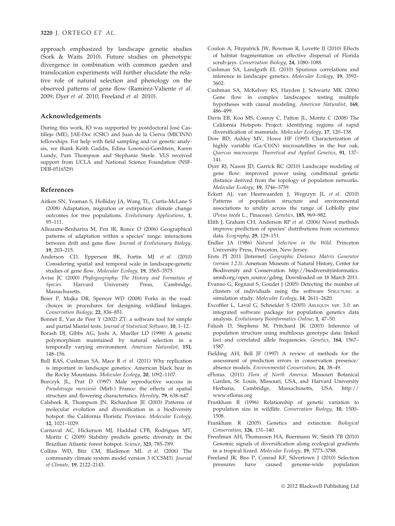3220 J. ORTEGO ET AL.

approach emphasized by landscape genetic studies (Sork & Waits 2010). Future studies on phenotypic divergence in combination with common garden and translocation experiments will further elucidate the relative role of natural selection and phenology on the observed patterns of gene flow (Ramírez-Valiente et al. 2009; Dyer et al. 2010; Freeland et al. 2010).

## Acknowledgements

During this work, JO was supported by postdoctoral José Castillejo (ME), JAE-Doc (CSIC) and Juan de la Cierva (MICINN) fellowships. For help with field sampling and/or genetic analysis, we thank Keith Gaddis, Edina Losonczi-Gorshtein, Karen Lundy, Pam Thompson and Stephanie Steele. VLS received support from UCLA and National Science Foundation (NSF-DEB-0516529).

### References

- Aitken SN, Yeaman S, Holliday JA, Wang TL, Curtis-McLane S (2008) Adaptation, migration or extirpation: climate change outcomes for tree populations. Evolutionary Applications, 1, 95–111.
- Alleaume-Benharira M, Pen IR, Ronce O (2006) Geographical patterns of adaptation within a species' range: interactions between drift and gene flow. Journal of Evolutionary Biology, 19, 203–215.
- Anderson CD, Epperson BK, Fortin MJ et al. (2010) Considering spatial and temporal scale in landscape-genetic studies of gene flow. Molecular Ecology, 19, 3565–3575.
- Avise JC (2000) Phylogeography: The History and Formation of Species. Harvard University Press, Cambridge, Massachusetts.
- Beier P, Majka DR, Spencer WD (2008) Forks in the road: choices in procedures for designing wildland linkages. Conservation Biology, 22, 836–851.
- Bonnet E, Van de Peer Y (2002) ZT: a software tool for simple and partial Mantel tests. Journal of Statistical Software, 10, 1–12.
- Borash DJ, Gibbs AG, Joshi A, Mueller LD (1998) A genetic polymorphism maintained by natural selection in a temporally varying environment. American Naturalist, 151, 148–156.
- Bull RAS, Cushman SA, Mace R et al. (2011) Why replication is important in landscape genetics: American black bear in the Rocky Mountains. Molecular Ecology, 20, 1092–1107.
- Burczyk JL, Prat D (1997) Male reproductive success in Pseudotsuga menziesii (Mirb.) France: the effects of spatial structure and flowering characteristics. Heredity, 79, 638–647.
- Calsbeek R, Thompson JN, Richardson JE (2003) Patterns of molecular evolution and diversification in a biodiversity hotspot: the California Floristic Province. Molecular Ecology, 12, 1021–1029.
- Carnaval AC, Hickerson MJ, Haddad CFB, Rodrigues MT, Moritz C (2009) Stability predicts genetic diversity in the Brazilian Atlantic forest hotspot. Science, 323, 785–789.
- Collins WD, Bitz CM, Blackmon ML et al. (2006) The community climate system model version 3 (CCSM3). Journal of Climate, 19, 2122–2143.
- Coulon A, Fitzpatrick JW, Bowman R, Lovette IJ (2010) Effects of habitat fragmentation on effective dispersal of Florida scrub-jays. Conservation Biology, 24, 1080-1088.
- Cushman SA, Landguth EL (2010) Spurious correlations and inference in landscape genetics. Molecular Ecology, 19, 3592– 3602.
- Cushman SA, McKelvey KS, Hayden J, Schwartz MK (2006) Gene flow in complex landscapes: testing multiple hypotheses with causal modeling. American Naturalist, 168, 486–499.
- Davis EB, Koo MS, Conroy C, Patton JL, Moritz C (2008) The California Hotspots Project: identifying regions of rapid diversification of mammals. Molecular Ecology, 17, 120–138.
- Dow BD, Ashley MV, Howe HF (1995) Characterization of highly variable  $(Ga/Ct)(N)$  microsatellites in the bur oak, Quercus macrocarpa. Theoretical and Applied Genetics, 91, 137– 141.
- Dyer RJ, Nason JD, Garrick RC (2010) Landscape modeling of gene flow: improved power using conditional genetic distance derived from the topology of population networks. Molecular Ecology, 19, 3746–3759.
- Eckert AJ, van Heerwaarden J, Wegrzyn JL et al. (2010) Patterns of population structure and environmental associations to aridity across the range of Loblolly pine (Pinus taeda L., Pinaceae). Genetics, 185, 969–982.
- Elith J, Graham CH, Anderson RP et al. (2006) Novel methods improve prediction of species' distributions from occurrence data. Ecography, 29, 129–151.
- Endler JA (1986) Natural Selection in the Wild. Princeton University Press, Princeton, New Jersey.
- Ersts PJ 2011 [Internet] Geographic Distance Matrix Generator (version 1.2.3). American Museum of Natural History, Center for Biodiversity and Conservation. http://biodiversityinformatics. amnh.org/open\_source/gdmg. Downloaded on 18 March 2011.
- Evanno G, Regnaut S, Goudet J (2005) Detecting the number of clusters of individuals using the software STRUCTURE: a simulation study. Molecular Ecology, 14, 2611-2620.
- Excoffier L, Laval G, Schneider S (2005) ARLEQUIN ver. 3.0: an integrated software package for population genetics data analysis. Evolutionary Bioinformatics Online, 1, 47–50.
- Falush D, Stephens M, Pritchard JK (2003) Inference of population structure using multilocus genotype data: linked loci and correlated allele frequencies. Genetics, 164, 1567– 1587.
- Fielding AH, Bell JF (1997) A review of methods for the assessment of prediction errors in conservation presence/ absence models. Environmental Conservation, 24, 38–49.
- eFloras. (2011) Flora of North America. Missouri Botanical Garden, St. Louis, Missouri, USA, and Harvard University Herbaria, Cambridge, Massachusetts, USA. http:// www.efloras.org
- Frankham R (1996) Relationship of genetic variation to population size in wildlife. Conservation Biology, 10, 1500– 1508.
- Frankham R (2005) Genetics and extinction. Biological Conservation, 126, 131–140.
- Freedman AH, Thomassen HA, Buermann W, Smith TB (2010) Genomic signals of diversification along ecological gradients in a tropical lizard. Molecular Ecology, 19, 3773-3788.
- Freeland JR, Biss P, Conrad KF, Silvertown J (2010) Selection pressures have caused genome-wide population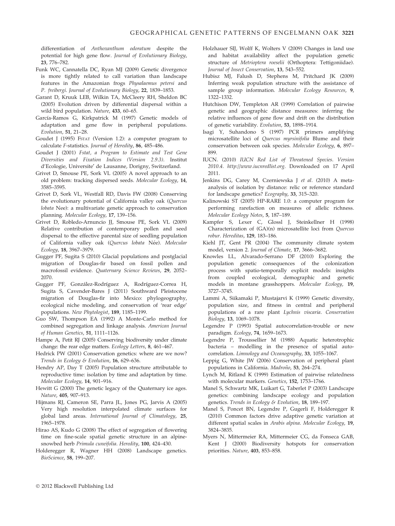differentiation of Anthoxanthum odoratum despite the potential for high gene flow. Journal of Evolutionary Biology, 23, 776–782.

- Funk WC, Cannatella DC, Ryan MJ (2009) Genetic divergence is more tightly related to call variation than landscape features in the Amazonian frogs Physalaemus petersi and P. freibergi. Journal of Evolutionary Biology, 22, 1839–1853.
- Garant D, Kruuk LEB, Wilkin TA, McCleery RH, Sheldon BC (2005) Evolution driven by differential dispersal within a wild bird population. Nature, 433, 60–65.
- García-Ramos G, Kirkpatrick M (1997) Genetic models of adaptation and gene flow in peripheral populations. Evolution, 51, 21–28.
- Goudet J (1995) FSTAT (Version 1.2): a computer program to calculate F-statistics. Journal of Heredity, 86, 485–486.
- Goudet J (2001) Fstat, a Program to Estimate and Test Gene Diversities and Fixation Indices (Version 2.9.3). Institut d'Ecologie, Universite¢ de Lausanne, Dorigny, Switzerland.
- Grivet D, Smouse PE, Sork VL (2005) A novel approach to an old problem: tracking dispersed seeds. Molecular Ecology, 14, 3585–3595.
- Grivet D, Sork VL, Westfall RD, Davis FW (2008) Conserving the evolutionary potential of California valley oak (Quercus lobata Nee): a multivariate genetic approach to conservation planning. Molecular Ecology, 17, 139–156.
- Grivet D, Robledo-Arnuncio JJ, Smouse PE, Sork VL (2009) Relative contribution of contemporary pollen and seed dispersal to the effective parental size of seedling population of California valley oak (Quercus lobata Née). Molecular Ecology, 18, 3967–3979.
- Gugger PF, Sugita S (2010) Glacial populations and postglacial migration of Douglas-fir based on fossil pollen and macrofossil evidence. Quaternary Science Reviews, 29, 2052– 2070.
- Gugger PF, González-Rodríguez A, Rodríguez-Correa H, Sugita S, Cavender-Bares J (2011) Southward Pleistocene migration of Douglas-fir into Mexico: phylogeography, ecological niche modeling, and conservation of 'rear edge' populations. New Phytologist, 189, 1185–1199.
- Guo SW, Thompson EA (1992) A Monte-Carlo method for combined segregation and linkage analysis. American Journal of Human Genetics, 51, 1111–1126.
- Hampe A, Petit RJ (2005) Conserving biodiversity under climate change: the rear edge matters. Ecology Letters, 8, 461–467.
- Hedrick PW (2001) Conservation genetics: where are we now? Trends in Ecology & Evolution, 16, 629-636.
- Hendry AP, Day T (2005) Population structure attributable to reproductive time: isolation by time and adaptation by time. Molecular Ecology, 14, 901–916.
- Hewitt G (2000) The genetic legacy of the Quaternary ice ages. Nature, 405, 907–913.
- Hijmans RJ, Cameron SE, Parra JL, Jones PG, Jarvis A (2005) Very high resolution interpolated climate surfaces for global land areas. International Journal of Climatology, 25, 1965–1978.
- Hirao AS, Kudo G (2008) The effect of segregation of flowering time on fine-scale spatial genetic structure in an alpinesnowbed herb Primula cuneifolia. Heredity, 100, 424–430.
- Holderegger R, Wagner HH (2008) Landscape genetics. BioScience, 58, 199–207.
- Holzhauer SIJ, Wolff K, Wolters V (2009) Changes in land use and habitat availability affect the population genetic structure of Metrioptera roeselii (Orthoptera: Tettigoniidae). Journal of Insect Conservation, 13, 543–552.
- Hubisz MJ, Falush D, Stephens M, Pritchard JK (2009) Inferring weak population structure with the assistance of sample group information. Molecular Ecology Resources, 9, 1322–1332.
- Hutchison DW, Templeton AR (1999) Correlation of pairwise genetic and geographic distance measures: inferring the relative influences of gene flow and drift on the distribution of genetic variability. Evolution, 53, 1898–1914.
- Isagi Y, Suhandono S (1997) PCR primers amplifying microsatellite loci of Quercus myrsinifolia Blume and their conservation between oak species. Molecular Ecology, 6, 897– 899.
- IUCN. (2010) IUCN Red List of Threatened Species. Version 2010.4. http://www.iucnredlist.org. Downloaded on 17 April 2011.
- Jenkins DG, Carey M, Czerniewska J et al. (2010) A metaanalysis of isolation by distance: relic or reference standard for landscape genetics? Ecography, 33, 315–320.
- Kalinowski ST (2005) HP-RARE 1.0: a computer program for performing rarefaction on measures of allelic richness. Molecular Ecology Notes, 5, 187–189.
- Kampfer S, Lexer C, Glossl J, Steinkellner H (1998) Characterization of (GA)(n) microsatellite loci from Quercus robur. Hereditas, 129, 183–186.
- Kiehl JT, Gent PR (2004) The community climate system model, version 2. Journal of Climate, 17, 3666–3682.
- Knowles LL, Alvarado-Serrano DF (2010) Exploring the population genetic consequences of the colonization process with spatio-temporally explicit models: insights from coupled ecological, demographic and genetic models in montane grasshoppers. Molecular Ecology, 19, 3727–3745.
- Lammi A, Siikamaki P, Mustajarvi K (1999) Genetic diversity, population size, and fitness in central and peripheral populations of a rare plant Lychnis viscaria. Conservation Biology, 13, 1069–1078.
- Legendre P (1993) Spatial autocorrelation-trouble or new paradigm. Ecology, 74, 1659–1673.
- Legendre P, Troussellier M (1988) Aquatic heterotrophic bacteria – modelling in the presence of spatial autocorrelation. Limnology and Oceanography, 33, 1055–1067.
- Leppig G, White JW (2006) Conservation of peripheral plant populations in California. Madroño, 53, 264-274.
- Lynch M, Ritland K (1999) Estimation of pairwise relatedness with molecular markers. Genetics, 152, 1753–1766.
- Manel S, Schwartz MK, Luikart G, Taberlet P (2003) Landscape genetics: combining landscape ecology and population genetics. Trends in Ecology & Evolution, 18, 189–197.
- Manel S, Poncet BN, Legendre P, Gugerli F, Holderegger R (2010) Common factors drive adaptive genetic variation at different spatial scales in Arabis alpina. Molecular Ecology, 19, 3824–3835.
- Myers N, Mittermeier RA, Mittermeier CG, da Fonseca GAB, Kent J (2000) Biodiversity hotspots for conservation priorities. Nature, 403, 853–858.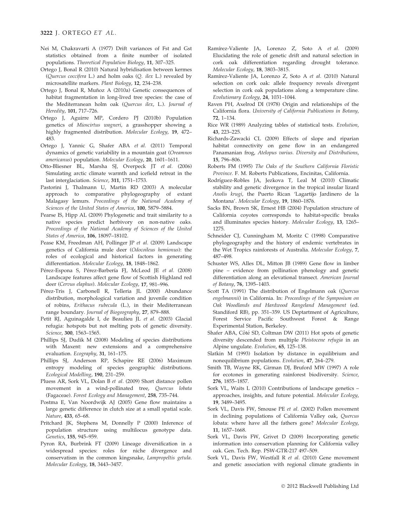- Nei M, Chakravarti A (1977) Drift variances of Fst and Gst statistics obtained from a finite number of isolated populations. Theoretical Population Biology, 11, 307–325.
- Ortego J, Bonal R (2010) Natural hybridisation between kermes (Quercus coccifera L.) and holm oaks (Q. ilex L.) revealed by microsatellite markers. Plant Biology, 12, 234–238.
- Ortego J, Bonal R, Muñoz A (2010a) Genetic consequences of habitat fragmentation in long-lived tree species: the case of the Mediterranean holm oak (Quercus ilex, L.). Journal of Heredity, 101, 717–726.
- Ortego J, Aguirre MP, Cordero PJ (2010b) Population genetics of Mioscirtus wagneri, a grasshopper showing a highly fragmented distribution. Molecular Ecology, 19, 472– 483.
- Ortego J, Yannic G, Shafer ABA et al. (2011) Temporal dynamics of genetic variability in a mountain goat (Oreamnos americanus) population. Molecular Ecology, 20, 1601–1611.
- Otto-Bliesner BL, Marsha SJ, Overpeck JT et al. (2006) Simulating arctic climate warmth and icefield retreat in the last interglaciation. Science, 311, 1751–1753.
- Pastorini J, Thalmann U, Martin RD (2003) A molecular approach to comparative phylogeography of extant Malagasy lemurs. Proceedings of the National Academy of Sciences of the United States of America, 100, 5879–5884.
- Pearse IS, Hipp AL (2009) Phylogenetic and trait similarity to a native species predict herbivory on non-native oaks. Proceedings of the National Academy of Sciences of the United States of America, 106, 18097–18102.
- Pease KM, Freedman AH, Pollinger JP et al. (2009) Landscape genetics of California mule deer (Odocoileus hemionus): the roles of ecological and historical factors in generating differentiation. Molecular Ecology, 18, 1848–1862.
- Pérez-Espona S, Pérez-Barbería FJ, McLeod JE et al. (2008) Landscape features affect gene flow of Scottish Highland red deer (Cervus elaphus). Molecular Ecology, 17, 981–996.
- Pérez-Tris J, Carbonell R, Telleria JL (2000) Abundance distribution, morphological variation and juvenile condition of robins, Erithacus rubecula (L.), in their Mediterranean range boundary. Journal of Biogeography, 27, 879–888.
- Petit RJ, Aguinagalde I, de Beaulieu JL et al. (2003) Glacial refugia: hotspots but not melting pots of genetic diversity. Science, 300, 1563–1565.
- Phillips SJ, Dudik M (2008) Modeling of species distributions with Maxent: new extensions and a comprehensive evaluation. Ecography, 31, 161–175.
- Phillips SJ, Anderson RP, Schapire RE (2006) Maximum entropy modeling of species geographic distributions. Ecological Modelling, 190, 231–259.
- Pluess AR, Sork VL, Dolan B et al. (2009) Short distance pollen movement in a wind-pollinated tree, Quercus lobata (Fagaceae). Forest Ecology and Management, 258, 735–744.
- Postma E, Van Noordwijk AJ (2005) Gene flow maintains a large genetic difference in clutch size at a small spatial scale. Nature, 433, 65–68.
- Pritchard JK, Stephens M, Donnelly P (2000) Inference of population structure using multilocus genotype data. Genetics, 155, 945–959.
- Pyron RA, Burbrink FT (2009) Lineage diversification in a widespread species: roles for niche divergence and conservatism in the common kingsnake, Lampropeltis getula. Molecular Ecology, 18, 3443–3457.
- Ramı´rez-Valiente JA, Lorenzo Z, Soto A et al. (2009) Elucidating the role of genetic drift and natural selection in cork oak differentiation regarding drought tolerance. Molecular Ecology, 18, 3803–3815.
- Ramírez-Valiente JA, Lorenzo Z, Soto A et al. (2010) Natural selection on cork oak: allele frequency reveals divergent selection in cork oak populations along a temperature cline. Evolutionary Ecology, 24, 1031–1044.
- Raven PH, Axelrod DI (1978) Origin and relationships of the California flora. University of California Publications in Botany, 72, 1–134.
- Rice WR (1989) Analyzing tables of statistical tests. Evolution, 43, 223–225.
- Richards-Zawacki CL (2009) Effects of slope and riparian habitat connectivity on gene flow in an endangered Panamanian frog, Atelopus varius. Diversity and Distributions, 15, 796–806.
- Roberts FM (1995) The Oaks of the Southern California Floristic Province. F. M. Roberts Publications, Encinitas, California.
- Rodrı´guez-Robles JA, Jezkova T, Leal M (2010) Climatic stability and genetic divergence in the tropical insular lizard Anolis krugi, the Puerto Rican 'Lagartijo Jardinero de la Montana'. Molecular Ecology, 19, 1860–1876.
- Sacks BN, Brown SK, Ernest HB (2004) Population structure of California coyotes corresponds to habitat-specific breaks and illuminates species history. Molecular Ecology, 13, 1265– 1275.
- Schneider CJ, Cunningham M, Moritz C (1998) Comparative phylogeography and the history of endemic vertebrates in the Wet Tropics rainforests of Australia. Molecular Ecology, 7, 487–498.
- Schuster WS, Alles DL, Mitton JB (1989) Gene flow in limber pine – evidence from pollination phenology and genetic differentiation along an elevational transect. American Journal of Botany, 76, 1395–1403.
- Scott TA (1991) The distribution of Engelmann oak (Quercus engelmannii) in California. In: Proceedings of the Symposium on Oak Woodlands and Hardwood Rangeland Management (ed. Standiford RB), pp. 351–359. US Deptartment of Agriculture, Forest Service Pacific Southwest Forest & Range Experimental Station, Berkeley.
- Shafer ABA, Côté SD, Coltman DW (2011) Hot spots of genetic diversity descended from multiple Pleistocene refugia in an Alpine ungulate. Evolution, 65, 125–138.
- Slatkin M (1993) Isolation by distance in equilibrium and nonequilibrium populations. Evolution, 47, 264–279.
- Smith TB, Wayne RK, Girman DJ, Bruford MW (1997) A role for ecotones in generating rainforest biodiversity. Science, 276, 1855–1857.
- Sork VL, Waits L (2010) Contributions of landscape genetics approaches, insights, and future potential. Molecular Ecology, 19, 3489–3495.
- Sork VL, Davis FW, Smouse PE et al. (2002) Pollen movement in declining populations of California Valley oak, Quercus lobata: where have all the fathers gone? Molecular Ecology, 11, 1657–1668.
- Sork VL, Davis FW, Grivet D (2009) Incorporating genetic information into conservation planning for California valley oak. Gen. Tech. Rep. PSW-GTR-217 497–509.
- Sork VL, Davis FW, Westfall R et al. (2010) Gene movement and genetic association with regional climate gradients in